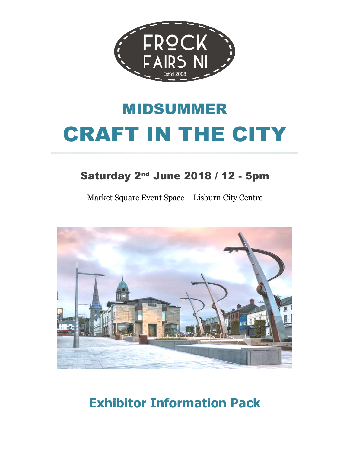

# MIDSUMMER CRAFT IN THE CITY

### Saturday 2nd June 2018 / 12 - 5pm

Market Square Event Space – Lisburn City Centre



## **Exhibitor Information Pack**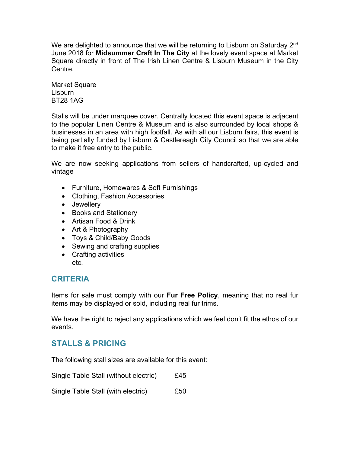We are delighted to announce that we will be returning to Lisburn on Saturday 2<sup>nd</sup> June 2018 for **Midsummer Craft In The City** at the lovely event space at Market Square directly in front of The Irish Linen Centre & Lisburn Museum in the City Centre.

Market Square Lisburn BT28 1AG

Stalls will be under marquee cover. Centrally located this event space is adjacent to the popular Linen Centre & Museum and is also surrounded by local shops & businesses in an area with high footfall. As with all our Lisburn fairs, this event is being partially funded by Lisburn & Castlereagh City Council so that we are able to make it free entry to the public.

We are now seeking applications from sellers of handcrafted, up-cycled and vintage

- Furniture, Homewares & Soft Furnishings
- Clothing, Fashion Accessories
- Jewellery
- Books and Stationery
- Artisan Food & Drink
- Art & Photography
- Toys & Child/Baby Goods
- Sewing and crafting supplies
- Crafting activities etc.

#### **CRITERIA**

Items for sale must comply with our **Fur Free Policy**, meaning that no real fur items may be displayed or sold, including real fur trims.

We have the right to reject any applications which we feel don't fit the ethos of our events.

#### **STALLS & PRICING**

The following stall sizes are available for this event:

Single Table Stall (without electric) £45

Single Table Stall (with electric) E50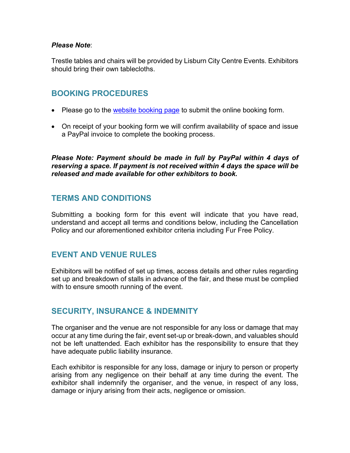#### *Please Note*:

Trestle tables and chairs will be provided by Lisburn City Centre Events. Exhibitors should bring their own tablecloths.

#### **BOOKING PROCEDURES**

- Please go to the [website booking page](http://www.frockfairsni.com/book-a-stall---midsummer-craft-in-the-city-saturday-2nd-june.html) to submit the online booking form.
- On receipt of your booking form we will confirm availability of space and issue a PayPal invoice to complete the booking process.

*Please Note: Payment should be made in full by PayPal within 4 days of reserving a space. If payment is not received within 4 days the space will be released and made available for other exhibitors to book.*

#### **TERMS AND CONDITIONS**

Submitting a booking form for this event will indicate that you have read, understand and accept all terms and conditions below, including the Cancellation Policy and our aforementioned exhibitor criteria including Fur Free Policy.

#### **EVENT AND VENUE RULES**

Exhibitors will be notified of set up times, access details and other rules regarding set up and breakdown of stalls in advance of the fair, and these must be complied with to ensure smooth running of the event.

#### **SECURITY, INSURANCE & INDEMNITY**

The organiser and the venue are not responsible for any loss or damage that may occur at any time during the fair, event set-up or break-down, and valuables should not be left unattended. Each exhibitor has the responsibility to ensure that they have adequate public liability insurance.

Each exhibitor is responsible for any loss, damage or injury to person or property arising from any negligence on their behalf at any time during the event. The exhibitor shall indemnify the organiser, and the venue, in respect of any loss, damage or injury arising from their acts, negligence or omission.